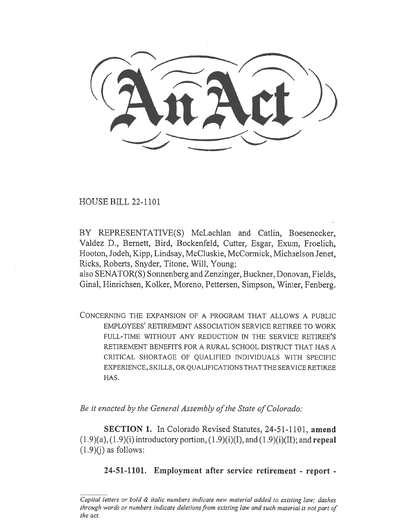HOUSE BILL 22-1101

BY REPRESENTATIVE(S) McLachlan and Catlin, Boesenecker, Valdez D., Bernett, Bird, Bockenfeld, Cutter, Esgar, Exum, Froelich, Hooton, Jodeh, Kipp, Lindsay, McCluskie, McCormick, Michaelson Jenet, Ricks, Roberts, Snyder, Titone, Will, Young;

also SENATOR(S) Sonnenberg and Zenzinger, Buckner, Donovan, Fields, Ginal, Hinrichsen, Kolker, Moreno, Pettersen, Simpson, Winter, Fenberg.

CONCERNING THE EXPANSION OF A PROGRAM THAT ALLOWS A PUBLIC EMPLOYEES' RETIREMENT ASSOCIATION SERVICE RETIREE TO WORK FULL-TIME WITHOUT ANY REDUCTION IN THE SERVICE RETIREE'S RETIREMENT BENEFITS FOR A RURAL SCHOOL DISTRICT THAT HAS A CRITICAL SHORTAGE OF QUALIFIED INDIVIDUALS WITH SPECIFIC EXPERIENCE, SKILLS, OR QUALIFICATIONS THAT THE SERVICE RETIREE HAS.

Be it enacted by the General Assembly of the State of Colorado:

SECTION 1. In Colorado Revised Statutes, 24-51-1101, amend  $(1.9)(a)$ ,  $(1.9)(i)$  introductory portion,  $(1.9)(i)$ (I), and  $(1.9)(i)$ (II); and repeal  $(1.9)(i)$  as follows:

## 24-51-1101. Employment after service retirement - report -

Capital letters or bold & italic numbers indicate new material added to existing law; dashes through words or numbers indicate deletions from existing law and such material is not part of the act.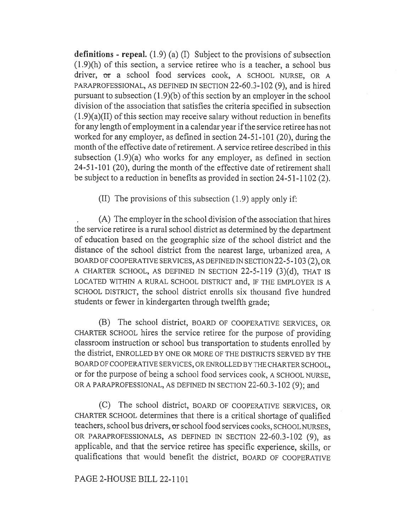definitions - repeal.  $(1.9)$  (a) (I) Subject to the provisions of subsection (1.9)(h) of this section, a service retiree who is a teacher, a school bus driver, or a school food services cook, A SCHOOL NURSE, OR A PARAPROFESSIONAL, AS DEFINED IN SECTION 22-60.3-102 (9), and is hired pursuant to subsection (1.9)(b) of this section by an employer in the school division of the association that satisfies the criteria specified in subsection (1.9)(a)(II) of this section may receive salary without reduction in benefits for any length of employment in a calendar year if the service retiree has not worked for any employer, as defined in section 24-51-101 (20), during the month of the effective date of retirement. A service retiree described in this subsection (1.9)(a) who works for any employer, as defined in section 24-51-101 (20), during the month of the effective date of retirement shall be subject to a reduction in benefits as provided in section 24-51-1102 (2).

(II) The provisions of this subsection (1.9) apply only if:

, (A) The employer in the school division of the association that hires the service retiree is a rural school district as determined by the department of education based on the geographic size of the school district and the distance of the school district from the nearest large, urbanized area, A BOARD OF COOPERATIVE SERVICES, AS DEFINED IN SECTION 22-5-103 (2), OR A CHARTER SCHOOL, AS DEFINED IN SECTION 22-5-119 (3)(d), THAT IS LOCATED WITHIN A RURAL SCHOOL DISTRICT and, IF THE EMPLOYER IS A SCHOOL DISTRICT, the school district enrolls six thousand five hundred students or fewer in kindergarten through twelfth grade;

(B) The school district, BOARD OF COOPERATIVE SERVICES, OR CHARTER SCHOOL hires the service retiree for the purpose of providing classroom instruction or school bus transportation to students enrolled by the district, ENROLLED BY ONE OR MORE OF THE DISTRICTS SERVED BY THE BOARD OF COOPERATIVE SERVICES, OR ENROLLED BY THE CHARTER SCHOOL, or for the purpose of being a school food services cook, A SCHOOL NURSE, OR A PARAPROFESSIONAL, AS DEFINED IN SECTION 22-60.3-102 (9); and

(C) The school district, BOARD OF COOPERATIVE SERVICES, OR CHARTER SCHOOL determines that there is a critical shortage of qualified teachers, school bus drivers, or school food services cooks, SCHOOL NURSES, OR PARAPROFESSIONALS, AS DEFINED IN SECTION 22-60.3-102 (9), as applicable, and that the service retiree has specific experience, skills, or qualifications that would benefit the district, BOARD OF COOPERATIVE

## PAGE 2-HOUSE BILL 22-1101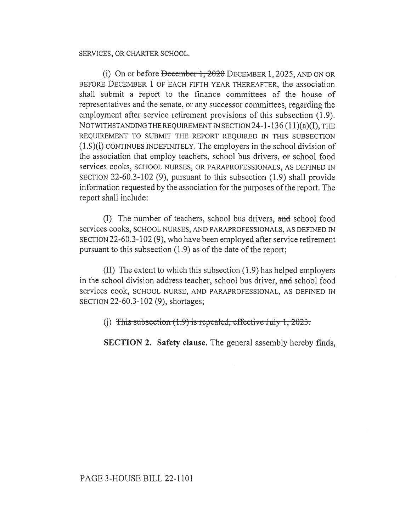SERVICES, OR CHARTER SCHOOL.

(i) On or before  $\frac{1}{2020}$  DECEMBER 1, 2025, AND ON OR BEFORE DECEMBER 1 OF EACH FIFTH YEAR THEREAFTER, the association shall submit a report to the finance committees of the house of representatives and the senate, or any successor committees, regarding the employment after service retirement provisions of this subsection (1.9). NOTWITHSTANDING THE REQUIREMENT IN SECTION 24-1-136 (11)(a)(I), THE REQUIREMENT TO SUBMIT THE REPORT REQUIRED IN THIS SUBSECTION (1.9)(i) CONTINUES INDEFINITELY. The employers in the school division of the association that employ teachers, school bus drivers, or school food services cooks, SCHOOL NURSES, OR PARAPROFESSIONALS, AS DEFINED IN SECTION 22-60.3-102 (9), pursuant to this subsection (1.9) shall provide information requested by the association for the purposes of the report. The report shall include:

(I) The number of teachers, school bus drivers, and school food services cooks, SCHOOL NURSES, AND PARAPROFESSIONALS, AS DEFINED IN SECTION 22-60.3-102 (9), who have been employed after service retirement pursuant to this subsection (1.9) as of the date of the report;

(II) The extent to which this subsection (1.9) has helped employers in the school division address teacher, school bus driver, and school food services cook, SCHOOL NURSE, AND PARAPROFESSIONAL, AS DEFINED IN SECTION 22-60.3-102 (9), shortages;

(j) This subsection  $(1.9)$  is repealed, effective July 1, 2023.

SECTION 2. Safety clause. The general assembly hereby finds,